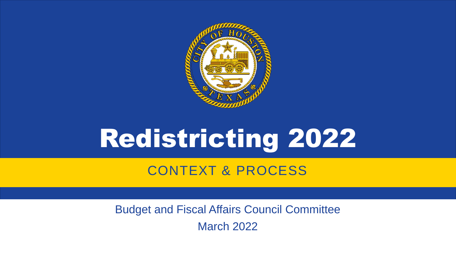

# Redistricting 2022

#### CONTEXT & PROCESS

Budget and Fiscal Affairs Council Committee

March 2022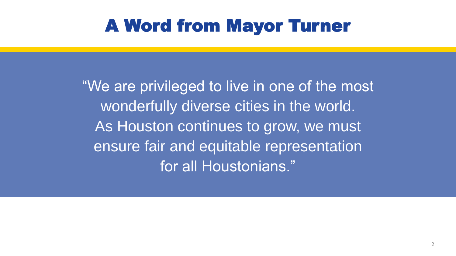### A Word from Mayor Turner

"We are privileged to live in one of the most wonderfully diverse cities in the world. As Houston continues to grow, we must ensure fair and equitable representation for all Houstonians."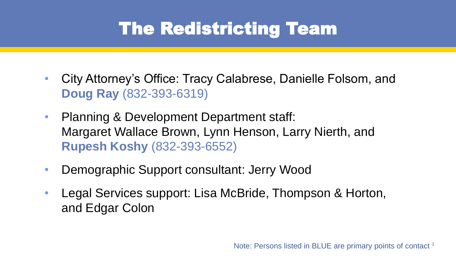### The Redistricting Team

- City Attorney's Office: Tracy Calabrese, Danielle Folsom, and **Doug Ray** (832-393-6319)
- Planning & Development Department staff: Margaret Wallace Brown, Lynn Henson, Larry Nierth, and **Rupesh Koshy** (832-393-6552)
- Demographic Support consultant: Jerry Wood
- Legal Services support: Lisa McBride, Thompson & Horton, and Edgar Colon

Note: Persons listed in BLUE are primary points of contact<sup>3</sup>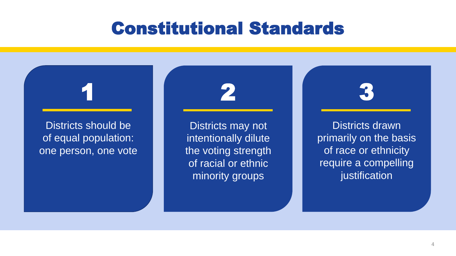#### Constitutional Standards



Districts may not intentionally dilute the voting strength of racial or ethnic minority groups

Districts drawn primarily on the basis of race or ethnicity require a compelling justification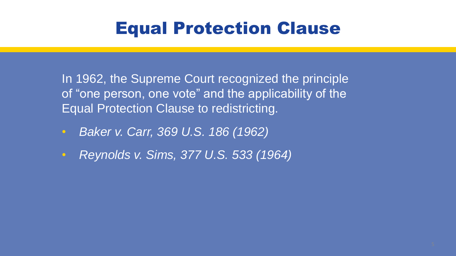#### Equal Protection Clause

In 1962, the Supreme Court recognized the principle of "one person, one vote" and the applicability of the Equal Protection Clause to redistricting.

- *Baker v. Carr, 369 U.S. 186 (1962)*
- *Reynolds v. Sims, 377 U.S. 533 (1964)*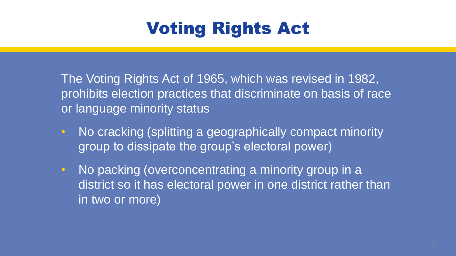# Voting Rights Act

The Voting Rights Act of 1965, which was revised in 1982, prohibits election practices that discriminate on basis of race or language minority status

- No cracking (splitting a geographically compact minority group to dissipate the group's electoral power)
- No packing (overconcentrating a minority group in a district so it has electoral power in one district rather than in two or more)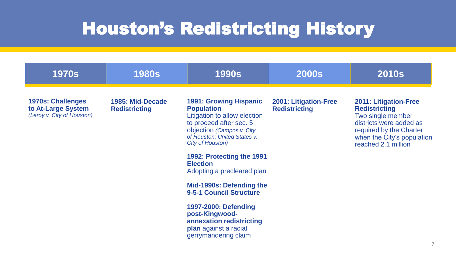#### Houston's Redistricting History

| <b>1970s</b>                                                                 | <b>1980s</b>                             | <b>1990s</b>                                                                                                                                                                                                                                                                                                                               | <b>2000s</b>                                         | <b>2010s</b>                                                                                                                                                                         |
|------------------------------------------------------------------------------|------------------------------------------|--------------------------------------------------------------------------------------------------------------------------------------------------------------------------------------------------------------------------------------------------------------------------------------------------------------------------------------------|------------------------------------------------------|--------------------------------------------------------------------------------------------------------------------------------------------------------------------------------------|
| <b>1970s: Challenges</b><br>to At-Large System<br>(Leroy v. City of Houston) | 1985: Mid-Decade<br><b>Redistricting</b> | <b>1991: Growing Hispanic</b><br><b>Population</b><br>Litigation to allow election<br>to proceed after sec. 5<br>objection (Campos v. City<br>of Houston; United States v.<br><b>City of Houston)</b><br>1992: Protecting the 1991<br><b>Election</b><br>Adopting a precleared plan<br>Mid-1990s: Defending the<br>9-5-1 Council Structure | <b>2001: Litigation-Free</b><br><b>Redistricting</b> | <b>2011: Litigation-Free</b><br><b>Redistricting</b><br>Two single member<br>districts were added as<br>required by the Charter<br>when the City's population<br>reached 2.1 million |
|                                                                              |                                          | 1997-2000: Defending<br>post-Kingwood-<br>annexation redistricting<br>plan against a racial<br>gerrymandering claim                                                                                                                                                                                                                        |                                                      |                                                                                                                                                                                      |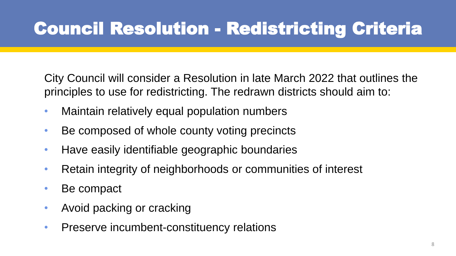## Council Resolution - Redistricting Criteria

City Council will consider a Resolution in late March 2022 that outlines the principles to use for redistricting. The redrawn districts should aim to:

- Maintain relatively equal population numbers
- Be composed of whole county voting precincts
- Have easily identifiable geographic boundaries
- Retain integrity of neighborhoods or communities of interest
- Be compact
- Avoid packing or cracking
- Preserve incumbent-constituency relations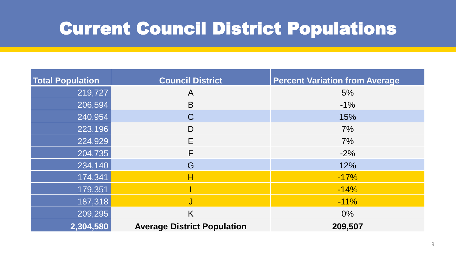### Current Council District Populations

| <b>Total Population</b> | <b>Council District</b>            | <b>Percent Variation from Average</b> |  |
|-------------------------|------------------------------------|---------------------------------------|--|
| 219,727                 | A                                  | 5%                                    |  |
| 206,594                 | B                                  | $-1\%$                                |  |
| 240,954                 | $\mathsf C$                        | 15%                                   |  |
| 223,196                 | D                                  | 7%                                    |  |
| 224,929                 | E                                  | 7%                                    |  |
| 204,735                 | F                                  | $-2%$                                 |  |
| 234,140                 | G                                  | 12%                                   |  |
| 174,341                 | Н                                  | $-17%$                                |  |
| 179,351                 |                                    | $-14%$                                |  |
| 187,318                 | J                                  | $-11\%$                               |  |
| 209,295                 | K                                  | $0\%$                                 |  |
| 2,304,580               | <b>Average District Population</b> | 209,507                               |  |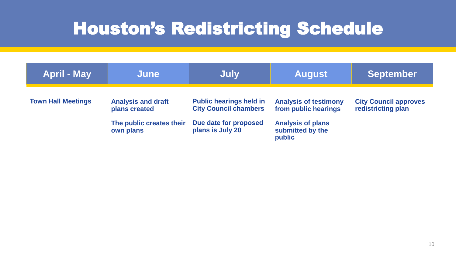### Houston's Redistricting Schedule

| <b>April - May</b>        | June                                                                                | July                                                                                                        | <b>August</b>                                                                                                  | <b>September</b>                                   |
|---------------------------|-------------------------------------------------------------------------------------|-------------------------------------------------------------------------------------------------------------|----------------------------------------------------------------------------------------------------------------|----------------------------------------------------|
| <b>Town Hall Meetings</b> | <b>Analysis and draft</b><br>plans created<br>The public creates their<br>own plans | <b>Public hearings held in</b><br><b>City Council chambers</b><br>Due date for proposed<br>plans is July 20 | <b>Analysis of testimony</b><br>from public hearings<br><b>Analysis of plans</b><br>submitted by the<br>public | <b>City Council approves</b><br>redistricting plan |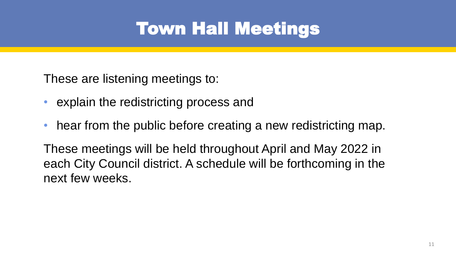## Town Hall Meetings

These are listening meetings to:

- explain the redistricting process and
- hear from the public before creating a new redistricting map.

These meetings will be held throughout April and May 2022 in each City Council district. A schedule will be forthcoming in the next few weeks.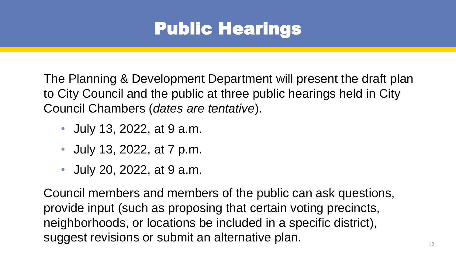### Public Hearings

The Planning & Development Department will present the draft plan to City Council and the public at three public hearings held in City Council Chambers (*dates are tentative*).

- July 13, 2022, at 9 a.m.
- July 13, 2022, at 7 p.m.
- July 20, 2022, at 9 a.m.

Council members and members of the public can ask questions, provide input (such as proposing that certain voting precincts, neighborhoods, or locations be included in a specific district), suggest revisions or submit an alternative plan.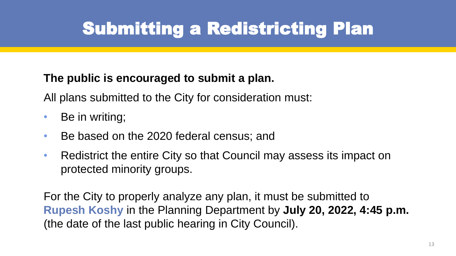# Submitting a Redistricting Plan

#### **The public is encouraged to submit a plan.**

All plans submitted to the City for consideration must:

- Be in writing;
- Be based on the 2020 federal census; and
- Redistrict the entire City so that Council may assess its impact on protected minority groups.

For the City to properly analyze any plan, it must be submitted to **Rupesh Koshy** in the Planning Department by **July 20, 2022, 4:45 p.m.**  (the date of the last public hearing in City Council).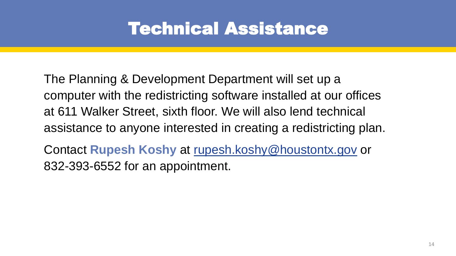#### Technical Assistance

The Planning & Development Department will set up a computer with the redistricting software installed at our offices at 611 Walker Street, sixth floor. We will also lend technical assistance to anyone interested in creating a redistricting plan.

Contact **Rupesh Koshy** at [rupesh.koshy@houstontx.gov](mailto:rupesh.koshy@houstontx.gov) or 832-393-6552 for an appointment.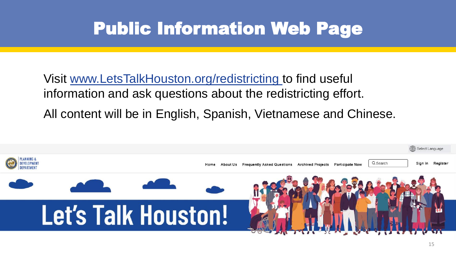### Public Information Web Page

Visit [www.LetsTalkHouston.org/redistricting t](http://www.letstalkhouston.org/redistricting)o find useful information and ask questions about the redistricting effort. All content will be in English, Spanish, Vietnamese and Chinese.